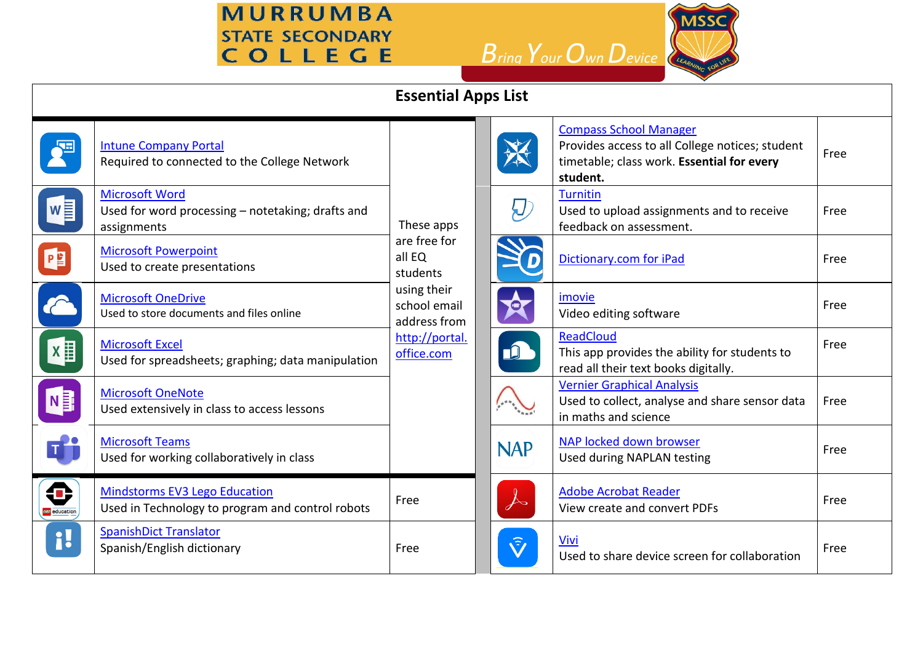**MURRUMBA STATE SECONDARY** COLLEGE

*Bring YourOwnDevice* 



| <b>Essential Apps List</b> |                                                                                           |                                                                                                                                 |                                |                                                                                                                                            |      |  |  |  |  |  |
|----------------------------|-------------------------------------------------------------------------------------------|---------------------------------------------------------------------------------------------------------------------------------|--------------------------------|--------------------------------------------------------------------------------------------------------------------------------------------|------|--|--|--|--|--|
|                            | <b>Intune Company Portal</b><br>Required to connected to the College Network              | These apps<br>are free for<br>all EQ<br>students<br>using their<br>school email<br>address from<br>http://portal.<br>office.com |                                | <b>Compass School Manager</b><br>Provides access to all College notices; student<br>timetable; class work. Essential for every<br>student. | Free |  |  |  |  |  |
| $W =$                      | <b>Microsoft Word</b><br>Used for word processing - notetaking; drafts and<br>assignments |                                                                                                                                 | IJ                             | <b>Turnitin</b><br>Used to upload assignments and to receive<br>feedback on assessment.                                                    | Free |  |  |  |  |  |
| P                          | <b>Microsoft Powerpoint</b><br>Used to create presentations                               |                                                                                                                                 |                                | Dictionary.com for iPad                                                                                                                    | Free |  |  |  |  |  |
|                            | <b>Microsoft OneDrive</b><br>Used to store documents and files online                     |                                                                                                                                 | $\overline{\mathbf{e}}$        | imovie<br>Video editing software                                                                                                           | Free |  |  |  |  |  |
| $X \equiv$                 | <b>Microsoft Excel</b><br>Used for spreadsheets; graphing; data manipulation              |                                                                                                                                 | $\mathbf{D}$                   | <b>ReadCloud</b><br>This app provides the ability for students to<br>read all their text books digitally.                                  | Free |  |  |  |  |  |
| NE                         | <b>Microsoft OneNote</b><br>Used extensively in class to access lessons                   |                                                                                                                                 |                                | <b>Vernier Graphical Analysis</b><br>Used to collect, analyse and share sensor data<br>in maths and science                                | Free |  |  |  |  |  |
| IJ                         | <b>Microsoft Teams</b><br>Used for working collaboratively in class                       |                                                                                                                                 | <b>NAP</b>                     | NAP locked down browser<br>Used during NAPLAN testing                                                                                      | Free |  |  |  |  |  |
| €<br><b>use</b> education  | <b>Mindstorms EV3 Lego Education</b><br>Used in Technology to program and control robots  | Free                                                                                                                            | A                              | <b>Adobe Acrobat Reader</b><br>View create and convert PDFs                                                                                | Free |  |  |  |  |  |
| 1!                         | <b>SpanishDict Translator</b><br>Spanish/English dictionary                               | Free                                                                                                                            | $\widehat{\tilde{\mathsf{V}}}$ | Vivi<br>Used to share device screen for collaboration                                                                                      | Free |  |  |  |  |  |